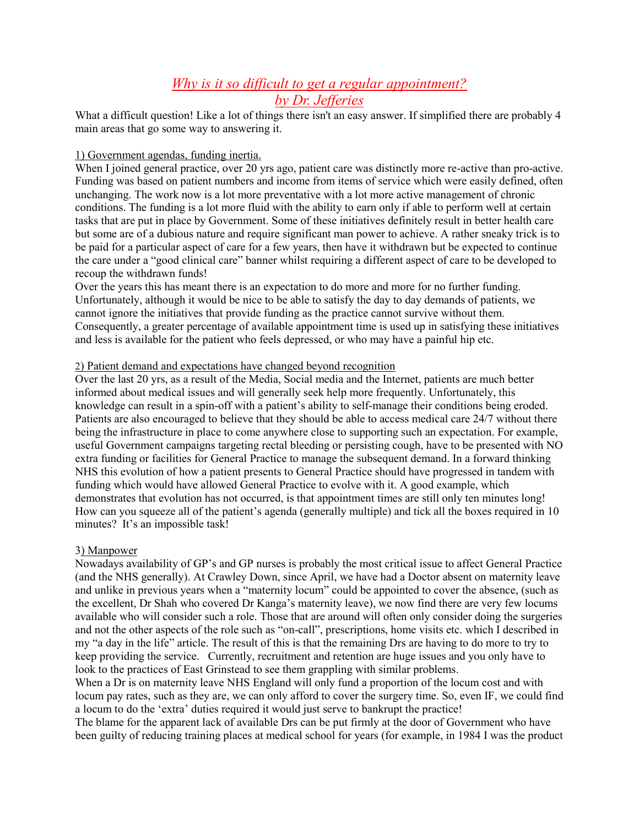# *Why is it so difficult to get a regular appointment? by Dr. Jefferies*

What a difficult question! Like a lot of things there isn't an easy answer. If simplified there are probably 4 main areas that go some way to answering it.

### 1) Government agendas, funding inertia.

When I joined general practice, over 20 yrs ago, patient care was distinctly more re-active than pro-active. Funding was based on patient numbers and income from items of service which were easily defined, often unchanging. The work now is a lot more preventative with a lot more active management of chronic conditions. The funding is a lot more fluid with the ability to earn only if able to perform well at certain tasks that are put in place by Government. Some of these initiatives definitely result in better health care but some are of a dubious nature and require significant man power to achieve. A rather sneaky trick is to be paid for a particular aspect of care for a few years, then have it withdrawn but be expected to continue the care under a "good clinical care" banner whilst requiring a different aspect of care to be developed to recoup the withdrawn funds!

Over the years this has meant there is an expectation to do more and more for no further funding. Unfortunately, although it would be nice to be able to satisfy the day to day demands of patients, we cannot ignore the initiatives that provide funding as the practice cannot survive without them. Consequently, a greater percentage of available appointment time is used up in satisfying these initiatives and less is available for the patient who feels depressed, or who may have a painful hip etc.

#### 2) Patient demand and expectations have changed beyond recognition

Over the last 20 yrs, as a result of the Media, Social media and the Internet, patients are much better informed about medical issues and will generally seek help more frequently. Unfortunately, this knowledge can result in a spin-off with a patient's ability to self-manage their conditions being eroded. Patients are also encouraged to believe that they should be able to access medical care 24/7 without there being the infrastructure in place to come anywhere close to supporting such an expectation. For example, useful Government campaigns targeting rectal bleeding or persisting cough, have to be presented with NO extra funding or facilities for General Practice to manage the subsequent demand. In a forward thinking NHS this evolution of how a patient presents to General Practice should have progressed in tandem with funding which would have allowed General Practice to evolve with it. A good example, which demonstrates that evolution has not occurred, is that appointment times are still only ten minutes long! How can you squeeze all of the patient's agenda (generally multiple) and tick all the boxes required in 10 minutes? It's an impossible task!

## 3) Manpower

Nowadays availability of GP's and GP nurses is probably the most critical issue to affect General Practice (and the NHS generally). At Crawley Down, since April, we have had a Doctor absent on maternity leave and unlike in previous years when a "maternity locum" could be appointed to cover the absence, (such as the excellent, Dr Shah who covered Dr Kanga's maternity leave), we now find there are very few locums available who will consider such a role. Those that are around will often only consider doing the surgeries and not the other aspects of the role such as "on-call", prescriptions, home visits etc. which I described in my "a day in the life" article. The result of this is that the remaining Drs are having to do more to try to keep providing the service. Currently, recruitment and retention are huge issues and you only have to look to the practices of East Grinstead to see them grappling with similar problems.

When a Dr is on maternity leave NHS England will only fund a proportion of the locum cost and with locum pay rates, such as they are, we can only afford to cover the surgery time. So, even IF, we could find a locum to do the 'extra' duties required it would just serve to bankrupt the practice!

The blame for the apparent lack of available Drs can be put firmly at the door of Government who have been guilty of reducing training places at medical school for years (for example, in 1984 I was the product